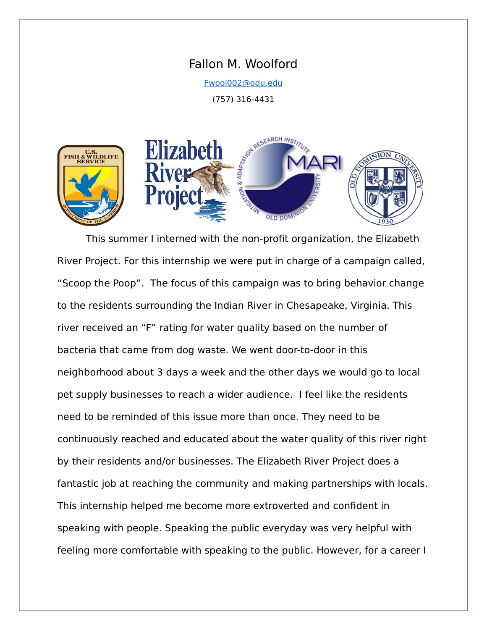## Fallon M. Woolford

[Fwool002@odu.edu](mailto:Fwool002@odu.edu)

(757) 316-4431





This summer I interned with the non-profit organization, the Elizabeth River Project. For this internship we were put in charge of a campaign called, "Scoop the Poop". The focus of this campaign was to bring behavior change to the residents surrounding the Indian River in Chesapeake, Virginia. This river received an "F" rating for water quality based on the number of bacteria that came from dog waste. We went door-to-door in this neighborhood about 3 days a week and the other days we would go to local pet supply businesses to reach a wider audience. I feel like the residents need to be reminded of this issue more than once. They need to be continuously reached and educated about the water quality of this river right by their residents and/or businesses. The Elizabeth River Project does a fantastic job at reaching the community and making partnerships with locals. This internship helped me become more extroverted and confident in speaking with people. Speaking the public everyday was very helpful with feeling more comfortable with speaking to the public. However, for a career I